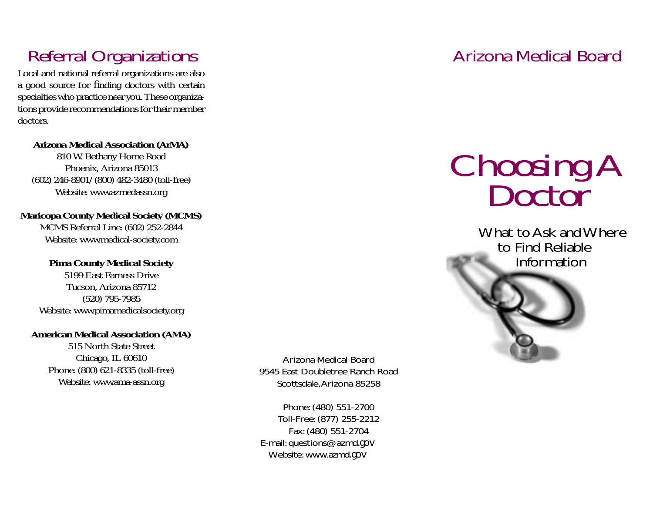Local and national referral organizations are also a good source for finding doctors with certain specialties who practice near you. These organizations provide recommendations for their member doctors.

#### **Arizona Medical Association (ArMA)**

810 W. Bethany Home Road Phoenix, Arizona 85013 (602) 246-8901/(800) 482-3480 (toll-free) Website: www.azmedassn.org

## **Maricopa County Medical Society (MCMS)**

MCMS Referral Line: (602) 252-2844 Website: www.medical-society.com

### **Pima County Medical Society**

5199 East Farness DriveTucson, Arizona 85712 (520) 795-7985 Website: www.pimamedicalsociety.org

#### **American Medical Association (AMA)**

515 North State Street Chicago, IL 60610 Phone: (800) 621-8335 (toll-free) Website: www.ama-assn.org

Arizona Medical Board9545 East Doubletree Ranch RoadScottsdale, Arizona 85258

Phone: (480) 551-2700 Toll-Free: (877) 255-2212 Fax: (480) 551-2704 E-mail: questions@azmd.gov Website: www.azmd.gov

## Referral Organizations **Arizona Medical Board** Arizona Medical Board

# Choosing A<br>Doctor

What to Ask and Where to Find Reliable Information